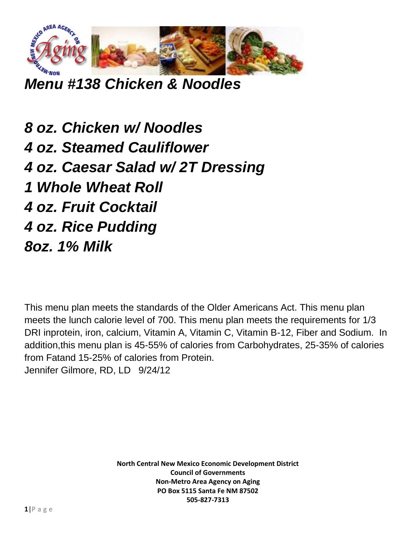

*Menu #138 Chicken & Noodles*

*8 oz. Chicken w/ Noodles 4 oz. Steamed Cauliflower 4 oz. Caesar Salad w/ 2T Dressing 1 Whole Wheat Roll 4 oz. Fruit Cocktail 4 oz. Rice Pudding 8oz. 1% Milk*

This menu plan meets the standards of the Older Americans Act. This menu plan meets the lunch calorie level of 700. This menu plan meets the requirements for 1/3 DRI inprotein, iron, calcium, Vitamin A, Vitamin C, Vitamin B-12, Fiber and Sodium. In addition,this menu plan is 45-55% of calories from Carbohydrates, 25-35% of calories from Fatand 15-25% of calories from Protein. Jennifer Gilmore, RD, LD 9/24/12

> **North Central New Mexico Economic Development District Council of Governments Non-Metro Area Agency on Aging PO Box 5115 Santa Fe NM 87502 505-827-7313**